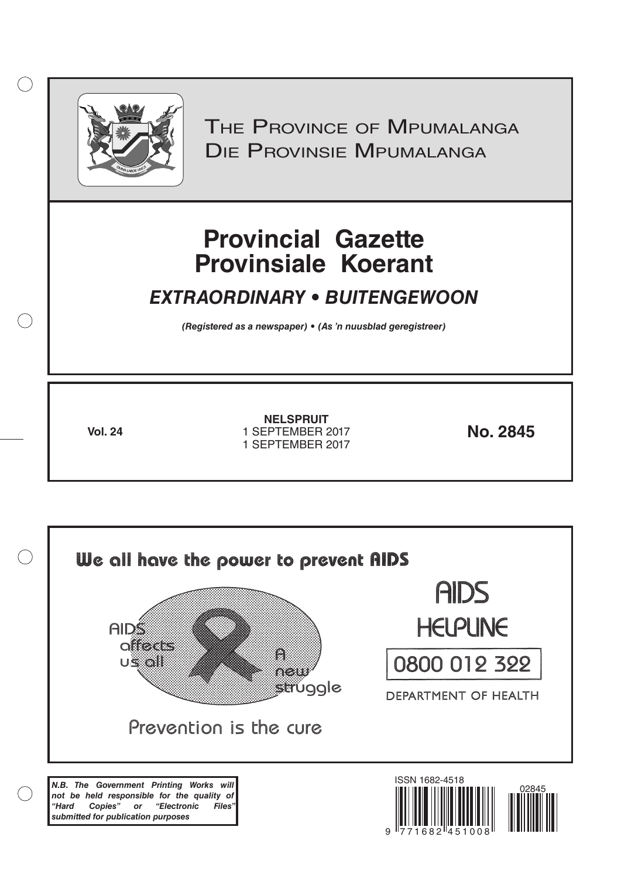

 $( )$ 

THE PROVINCE OF MPUMALANGA Die Provinsie Mpumalanga

# **Provincial Gazette Provinsiale Koerant**

# *EXTRAORDINARY • BUITENGEWOON*

*(Registered as a newspaper) • (As 'n nuusblad geregistreer)*

**Vol. 24 No. 2845** 1 SEPTEMBER 2017 **NELSPRUIT** 1 SEPTEMBER 2017

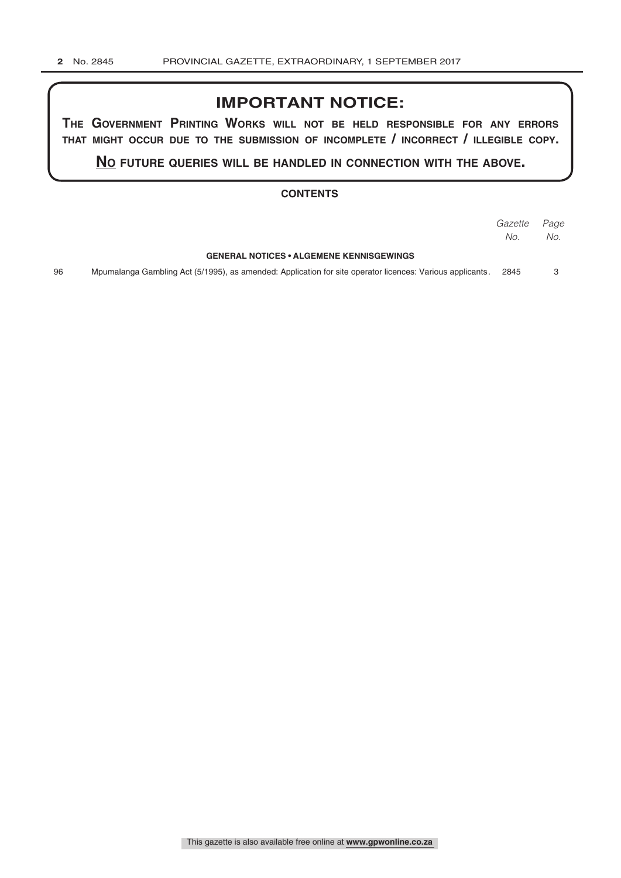## **IMPORTANT NOTICE:**

**The GovernmenT PrinTinG Works Will noT be held resPonsible for any errors ThaT miGhT occur due To The submission of incomPleTe / incorrecT / illeGible coPy.**

**no fuTure queries Will be handled in connecTion WiTh The above.**

#### **CONTENTS**

|    |                                                                                                           | Gazette | Page |
|----|-----------------------------------------------------------------------------------------------------------|---------|------|
|    |                                                                                                           | No.     | No.  |
|    | <b>GENERAL NOTICES • ALGEMENE KENNISGEWINGS</b>                                                           |         |      |
| 96 | Mpumalanga Gambling Act (5/1995), as amended: Application for site operator licences: Various applicants. | 2845    |      |
|    |                                                                                                           |         |      |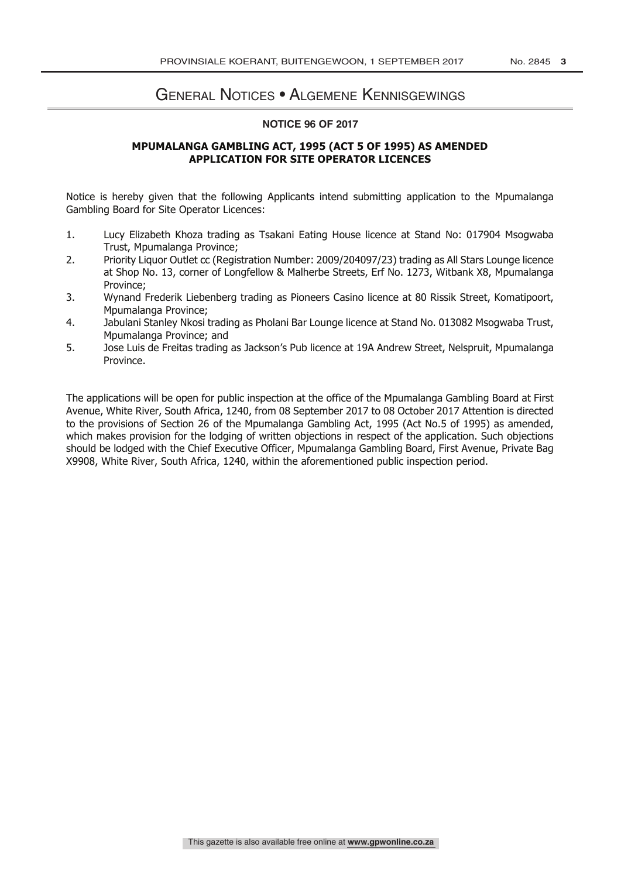### General Notices • Algemene Kennisgewings

#### **NOTICE 96 OF 2017**

#### **MPUMALANGA GAMBLING ACT, 1995 (ACT 5 OF 1995) AS AMENDED APPLICATION FOR SITE OPERATOR LICENCES**

Notice is hereby given that the following Applicants intend submitting application to the Mpumalanga Gambling Board for Site Operator Licences:

- 1. Lucy Elizabeth Khoza trading as Tsakani Eating House licence at Stand No: 017904 Msogwaba Trust, Mpumalanga Province;
- 2. Priority Liquor Outlet cc (Registration Number: 2009/204097/23) trading as All Stars Lounge licence at Shop No. 13, corner of Longfellow & Malherbe Streets, Erf No. 1273, Witbank X8, Mpumalanga Province;
- 3. Wynand Frederik Liebenberg trading as Pioneers Casino licence at 80 Rissik Street, Komatipoort, Mpumalanga Province;
- 4. Jabulani Stanley Nkosi trading as Pholani Bar Lounge licence at Stand No. 013082 Msogwaba Trust, Mpumalanga Province; and
- 5. Jose Luis de Freitas trading as Jackson's Pub licence at 19A Andrew Street, Nelspruit, Mpumalanga Province.

The applications will be open for public inspection at the office of the Mpumalanga Gambling Board at First Avenue, White River, South Africa, 1240, from 08 September 2017 to 08 October 2017 Attention is directed to the provisions of Section 26 of the Mpumalanga Gambling Act, 1995 (Act No.5 of 1995) as amended, which makes provision for the lodging of written objections in respect of the application. Such objections should be lodged with the Chief Executive Officer, Mpumalanga Gambling Board, First Avenue, Private Bag X9908, White River, South Africa, 1240, within the aforementioned public inspection period.